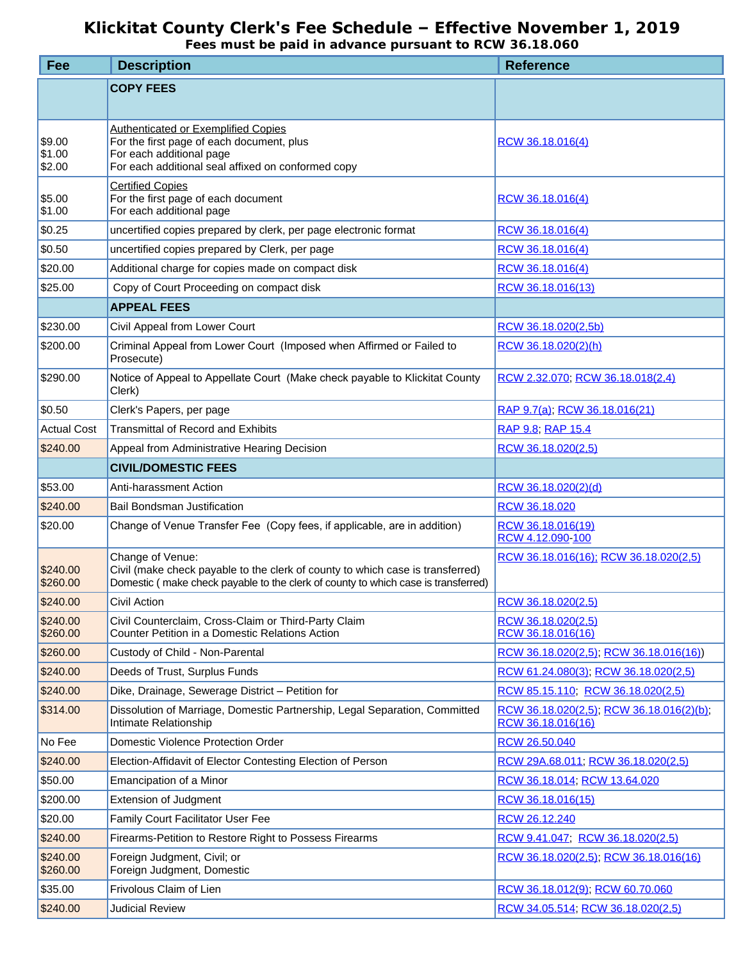## **Klickitat County Clerk's Fee Schedule – Effective November 1, 2019**

*Fees must be paid in advance pursuant to RCW 36.18.060*

| Fee                        | <b>Description</b>                                                                                                                                                                      | <b>Reference</b>                                              |
|----------------------------|-----------------------------------------------------------------------------------------------------------------------------------------------------------------------------------------|---------------------------------------------------------------|
|                            | <b>COPY FEES</b>                                                                                                                                                                        |                                                               |
| \$9.00<br>\$1.00<br>\$2.00 | <b>Authenticated or Exemplified Copies</b><br>For the first page of each document, plus<br>For each additional page<br>For each additional seal affixed on conformed copy               | RCW 36.18.016(4)                                              |
| \$5.00<br>\$1.00           | <b>Certified Copies</b><br>For the first page of each document<br>For each additional page                                                                                              | RCW 36.18.016(4)                                              |
| \$0.25                     | uncertified copies prepared by clerk, per page electronic format                                                                                                                        | RCW 36.18.016(4)                                              |
| \$0.50                     | uncertified copies prepared by Clerk, per page                                                                                                                                          | RCW 36.18.016(4)                                              |
| \$20.00                    | Additional charge for copies made on compact disk                                                                                                                                       | RCW 36.18.016(4)                                              |
| \$25.00                    | Copy of Court Proceeding on compact disk                                                                                                                                                | RCW 36.18.016(13)                                             |
|                            | <b>APPEAL FEES</b>                                                                                                                                                                      |                                                               |
| \$230.00                   | Civil Appeal from Lower Court                                                                                                                                                           | RCW 36.18.020(2,5b)                                           |
| \$200.00                   | Criminal Appeal from Lower Court (Imposed when Affirmed or Failed to<br>Prosecute)                                                                                                      | RCW 36.18.020(2)(h)                                           |
| \$290.00                   | Notice of Appeal to Appellate Court (Make check payable to Klickitat County<br>Clerk)                                                                                                   | RCW 2.32.070, RCW 36.18.018(2,4)                              |
| \$0.50                     | Clerk's Papers, per page                                                                                                                                                                | RAP 9.7(a); RCW 36.18.016(21)                                 |
| <b>Actual Cost</b>         | <b>Transmittal of Record and Exhibits</b>                                                                                                                                               | RAP 9.8; RAP 15.4                                             |
| \$240.00                   | Appeal from Administrative Hearing Decision                                                                                                                                             | RCW 36.18.020(2,5)                                            |
|                            | <b>CIVIL/DOMESTIC FEES</b>                                                                                                                                                              |                                                               |
| \$53.00                    | Anti-harassment Action                                                                                                                                                                  | RCW 36.18.020(2)(d)                                           |
| \$240.00                   | <b>Bail Bondsman Justification</b>                                                                                                                                                      | RCW 36.18.020                                                 |
| \$20.00                    | Change of Venue Transfer Fee (Copy fees, if applicable, are in addition)                                                                                                                | RCW 36.18.016(19)<br>RCW 4.12.090-100                         |
| \$240.00<br>\$260.00       | Change of Venue:<br>Civil (make check payable to the clerk of county to which case is transferred)<br>Domestic (make check payable to the clerk of county to which case is transferred) | RCW 36.18.016(16); RCW 36.18.020(2,5)                         |
| \$240.00                   | Civil Action                                                                                                                                                                            | RCW 36.18.020(2,5)                                            |
| \$240.00<br>\$260.00       | Civil Counterclaim, Cross-Claim or Third-Party Claim<br>Counter Petition in a Domestic Relations Action                                                                                 | RCW 36.18.020(2,5)<br>RCW 36.18.016(16)                       |
| \$260.00                   | Custody of Child - Non-Parental                                                                                                                                                         | RCW 36.18.020(2,5), RCW 36.18.016(16))                        |
| \$240.00                   | Deeds of Trust, Surplus Funds                                                                                                                                                           | RCW 61.24.080(3); RCW 36.18.020(2,5)                          |
| \$240.00                   | Dike, Drainage, Sewerage District - Petition for                                                                                                                                        | RCW 85.15.110; RCW 36.18.020(2,5)                             |
| \$314.00                   | Dissolution of Marriage, Domestic Partnership, Legal Separation, Committed<br>Intimate Relationship                                                                                     | RCW 36.18.020(2,5), RCW 36.18.016(2)(b),<br>RCW 36.18.016(16) |
| No Fee                     | Domestic Violence Protection Order                                                                                                                                                      | RCW 26.50.040                                                 |
| \$240.00                   | Election-Affidavit of Elector Contesting Election of Person                                                                                                                             | RCW 29A.68.011; RCW 36.18.020(2,5)                            |
| \$50.00                    | Emancipation of a Minor                                                                                                                                                                 | RCW 36.18.014, RCW 13.64.020                                  |
| \$200.00                   | Extension of Judgment                                                                                                                                                                   | RCW 36.18.016(15)                                             |
| \$20.00                    | <b>Family Court Facilitator User Fee</b>                                                                                                                                                | RCW 26.12.240                                                 |
| \$240.00                   | Firearms-Petition to Restore Right to Possess Firearms                                                                                                                                  | RCW 9.41.047; RCW 36.18.020(2,5)                              |
| \$240.00<br>\$260.00       | Foreign Judgment, Civil; or<br>Foreign Judgment, Domestic                                                                                                                               | RCW 36.18.020(2,5); RCW 36.18.016(16)                         |
| \$35.00                    | Frivolous Claim of Lien                                                                                                                                                                 | RCW 36.18.012(9); RCW 60.70.060                               |
| \$240.00                   | <b>Judicial Review</b>                                                                                                                                                                  | RCW 34.05.514; RCW 36.18.020(2,5)                             |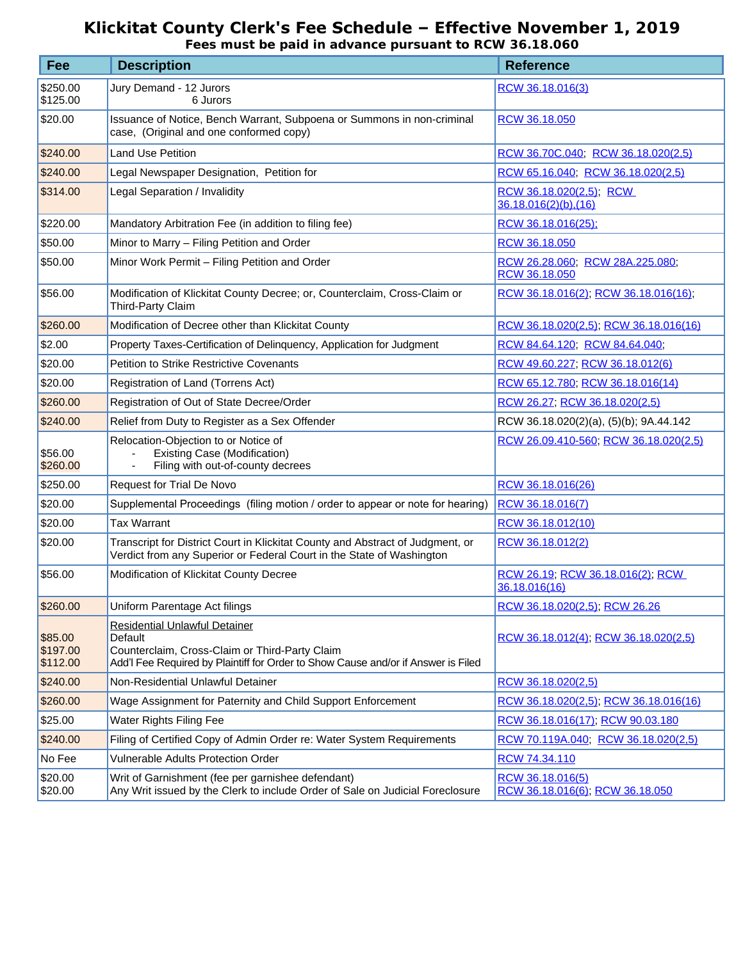## **Klickitat County Clerk's Fee Schedule – Effective November 1, 2019**

*Fees must be paid in advance pursuant to RCW 36.18.060*

| Fee                             | <b>Description</b>                                                                                                                                                                     | <b>Reference</b>                                    |
|---------------------------------|----------------------------------------------------------------------------------------------------------------------------------------------------------------------------------------|-----------------------------------------------------|
| \$250.00<br>\$125.00            | Jury Demand - 12 Jurors<br>6 Jurors                                                                                                                                                    | RCW 36.18.016(3)                                    |
| \$20.00                         | Issuance of Notice, Bench Warrant, Subpoena or Summons in non-criminal<br>case, (Original and one conformed copy)                                                                      | RCW 36.18.050                                       |
| \$240.00                        | <b>Land Use Petition</b>                                                                                                                                                               | RCW 36.70C.040, RCW 36.18.020(2,5)                  |
| \$240.00                        | Legal Newspaper Designation, Petition for                                                                                                                                              | RCW 65.16.040; RCW 36.18.020(2,5)                   |
| \$314.00                        | Legal Separation / Invalidity                                                                                                                                                          | RCW 36.18.020(2,5); RCW<br>36.18.016(2)(b),(16)     |
| \$220.00                        | Mandatory Arbitration Fee (in addition to filing fee)                                                                                                                                  | RCW 36.18.016(25);                                  |
| \$50.00                         | Minor to Marry - Filing Petition and Order                                                                                                                                             | RCW 36.18.050                                       |
| \$50.00                         | Minor Work Permit - Filing Petition and Order                                                                                                                                          | RCW 26.28.060, RCW 28A.225.080,<br>RCW 36.18.050    |
| \$56.00                         | Modification of Klickitat County Decree; or, Counterclaim, Cross-Claim or<br>Third-Party Claim                                                                                         | RCW 36.18.016(2); RCW 36.18.016(16);                |
| \$260.00                        | Modification of Decree other than Klickitat County                                                                                                                                     | RCW 36.18.020(2,5); RCW 36.18.016(16)               |
| \$2.00                          | Property Taxes-Certification of Delinquency, Application for Judgment                                                                                                                  | RCW 84.64.120, RCW 84.64.040,                       |
| \$20.00                         | <b>Petition to Strike Restrictive Covenants</b>                                                                                                                                        | RCW 49.60.227; RCW 36.18.012(6)                     |
| \$20.00                         | Registration of Land (Torrens Act)                                                                                                                                                     | RCW 65.12.780; RCW 36.18.016(14)                    |
| \$260.00                        | Registration of Out of State Decree/Order                                                                                                                                              | RCW 26.27, RCW 36.18.020(2,5)                       |
| \$240.00                        | Relief from Duty to Register as a Sex Offender                                                                                                                                         | RCW 36.18.020(2)(a), (5)(b); 9A.44.142              |
| \$56.00<br>\$260.00             | Relocation-Objection to or Notice of<br><b>Existing Case (Modification)</b><br>Filing with out-of-county decrees                                                                       | RCW 26.09.410-560; RCW 36.18.020(2,5)               |
| \$250.00                        | Request for Trial De Novo                                                                                                                                                              | RCW 36.18.016(26)                                   |
| \$20.00                         | Supplemental Proceedings (filing motion / order to appear or note for hearing)                                                                                                         | RCW 36.18.016(7)                                    |
| \$20.00                         | <b>Tax Warrant</b>                                                                                                                                                                     | RCW 36.18.012(10)                                   |
| \$20.00                         | Transcript for District Court in Klickitat County and Abstract of Judgment, or<br>Verdict from any Superior or Federal Court in the State of Washington                                | RCW 36.18.012(2)                                    |
| \$56.00                         | Modification of Klickitat County Decree                                                                                                                                                | RCW 26.19; RCW 36.18.016(2); RCW<br>36.18.016(16)   |
| \$260.00                        | Uniform Parentage Act filings                                                                                                                                                          | RCW 36.18.020(2,5), RCW 26.26                       |
| \$85.00<br>\$197.00<br>\$112.00 | <b>Residential Unlawful Detainer</b><br>Default<br>Counterclaim, Cross-Claim or Third-Party Claim<br>Add'I Fee Required by Plaintiff for Order to Show Cause and/or if Answer is Filed | RCW 36.18.012(4); RCW 36.18.020(2,5)                |
| \$240.00                        | Non-Residential Unlawful Detainer                                                                                                                                                      | RCW 36.18.020(2,5)                                  |
| \$260.00                        | Wage Assignment for Paternity and Child Support Enforcement                                                                                                                            | RCW 36.18.020(2,5), RCW 36.18.016(16)               |
| \$25.00                         | Water Rights Filing Fee                                                                                                                                                                | RCW 36.18.016(17); RCW 90.03.180                    |
| \$240.00                        | Filing of Certified Copy of Admin Order re: Water System Requirements                                                                                                                  | RCW 70.119A.040, RCW 36.18.020(2,5)                 |
| No Fee                          | <b>Vulnerable Adults Protection Order</b>                                                                                                                                              | RCW 74.34.110                                       |
| \$20.00<br>\$20.00              | Writ of Garnishment (fee per garnishee defendant)<br>Any Writ issued by the Clerk to include Order of Sale on Judicial Foreclosure                                                     | RCW 36.18.016(5)<br>RCW 36.18.016(6), RCW 36.18.050 |